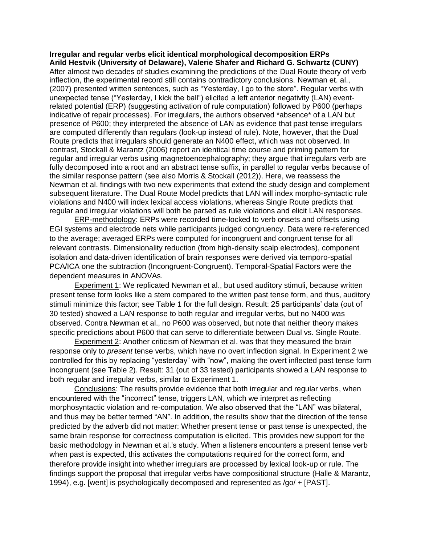**Irregular and regular verbs elicit identical morphological decomposition ERPs Arild Hestvik (University of Delaware), Valerie Shafer and Richard G. Schwartz (CUNY)** After almost two decades of studies examining the predictions of the Dual Route theory of verb inflection, the experimental record still contains contradictory conclusions. Newman et. al., (2007) presented written sentences, such as "Yesterday, I go to the store". Regular verbs with unexpected tense ("Yesterday, I kick the ball") elicited a left anterior negativity (LAN) eventrelated potential (ERP) (suggesting activation of rule computation) followed by P600 (perhaps indicative of repair processes). For irregulars, the authors observed \*absence\* of a LAN but presence of P600; they interpreted the absence of LAN as evidence that past tense irregulars are computed differently than regulars (look-up instead of rule). Note, however, that the Dual Route predicts that irregulars should generate an N400 effect, which was not observed. In contrast, Stockall & Marantz (2006) report an identical time course and priming pattern for regular and irregular verbs using magnetoencephalography; they argue that irregulars verb are fully decomposed into a root and an abstract tense suffix, in parallel to regular verbs because of the similar response pattern (see also Morris & Stockall (2012)). Here, we reassess the Newman et al. findings with two new experiments that extend the study design and complement subsequent literature. The Dual Route Model predicts that LAN will index morpho-syntactic rule violations and N400 will index lexical access violations, whereas Single Route predicts that regular and irregular violations will both be parsed as rule violations and elicit LAN responses.

ERP-methodology: ERPs were recorded time-locked to verb onsets and offsets using EGI systems and electrode nets while participants judged congruency. Data were re-referenced to the average; averaged ERPs were computed for incongruent and congruent tense for all relevant contrasts. Dimensionality reduction (from high-density scalp electrodes), component isolation and data-driven identification of brain responses were derived via temporo-spatial PCA/ICA one the subtraction (Incongruent-Congruent). Temporal-Spatial Factors were the dependent measures in ANOVAs.

Experiment 1: We replicated Newman et al., but used auditory stimuli, because written present tense form looks like a stem compared to the written past tense form, and thus, auditory stimuli minimize this factor; see Table 1 for the full design. Result: 25 participants' data (out of 30 tested) showed a LAN response to both regular and irregular verbs, but no N400 was observed. Contra Newman et al., no P600 was observed, but note that neither theory makes specific predictions about P600 that can serve to differentiate between Dual vs. Single Route.

Experiment 2: Another criticism of Newman et al. was that they measured the brain response only to *present* tense verbs, which have no overt inflection signal. In Experiment 2 we controlled for this by replacing "yesterday" with "now", making the overt inflected past tense form incongruent (see Table 2). Result: 31 (out of 33 tested) participants showed a LAN response to both regular and irregular verbs, similar to Experiment 1.

Conclusions: The results provide evidence that both irregular and regular verbs, when encountered with the "incorrect" tense, triggers LAN, which we interpret as reflecting morphosyntactic violation and re-computation. We also observed that the "LAN" was bilateral, and thus may be better termed "AN". In addition, the results show that the direction of the tense predicted by the adverb did not matter: Whether present tense or past tense is unexpected, the same brain response for correctness computation is elicited. This provides new support for the basic methodology in Newman et al.'s study. When a listeners encounters a present tense verb when past is expected, this activates the computations required for the correct form, and therefore provide insight into whether irregulars are processed by lexical look-up or rule. The findings support the proposal that irregular verbs have compositional structure (Halle & Marantz, 1994), e.g. [went] is psychologically decomposed and represented as /go/ + [PAST].